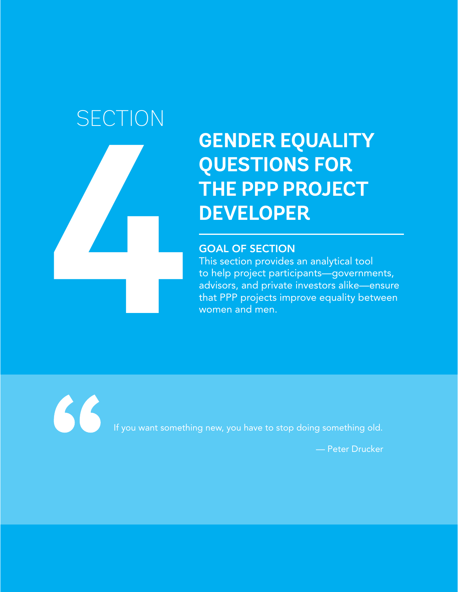# **SECTION**

**4**

## **GENDER EQUALITY QUESTIONS FOR THE PPP PROJECT DEVELOPER**

## GOAL OF SECTION

This section provides an analytical tool to help project participants—governments, advisors, and private investors alike—ensure that PPP projects improve equality between women and men.

66

If you want something new, you have to stop doing something old.

— Peter Drucker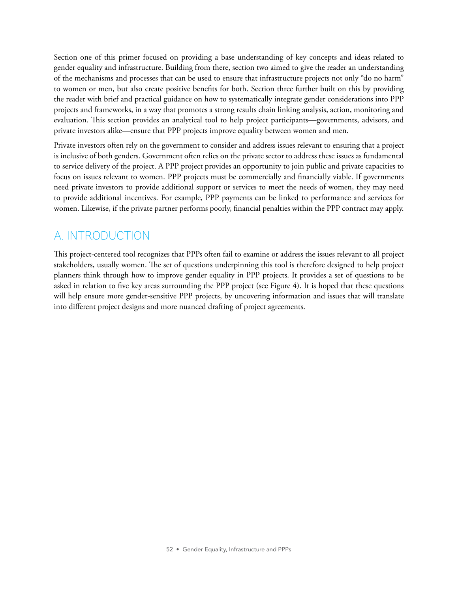Section one of this primer focused on providing a base understanding of key concepts and ideas related to gender equality and infrastructure. Building from there, section two aimed to give the reader an understanding of the mechanisms and processes that can be used to ensure that infrastructure projects not only "do no harm" to women or men, but also create positive benefits for both. Section three further built on this by providing the reader with brief and practical guidance on how to systematically integrate gender considerations into PPP projects and frameworks, in a way that promotes a strong results chain linking analysis, action, monitoring and evaluation. This section provides an analytical tool to help project participants—governments, advisors, and private investors alike—ensure that PPP projects improve equality between women and men.

Private investors often rely on the government to consider and address issues relevant to ensuring that a project is inclusive of both genders. Government often relies on the private sector to address these issues as fundamental to service delivery of the project. A PPP project provides an opportunity to join public and private capacities to focus on issues relevant to women. PPP projects must be commercially and financially viable. If governments need private investors to provide additional support or services to meet the needs of women, they may need to provide additional incentives. For example, PPP payments can be linked to performance and services for women. Likewise, if the private partner performs poorly, financial penalties within the PPP contract may apply.

## A. INTRODUCTION

This project-centered tool recognizes that PPPs often fail to examine or address the issues relevant to all project stakeholders, usually women. The set of questions underpinning this tool is therefore designed to help project planners think through how to improve gender equality in PPP projects. It provides a set of questions to be asked in relation to five key areas surrounding the PPP project (see Figure 4). It is hoped that these questions will help ensure more gender-sensitive PPP projects, by uncovering information and issues that will translate into different project designs and more nuanced drafting of project agreements.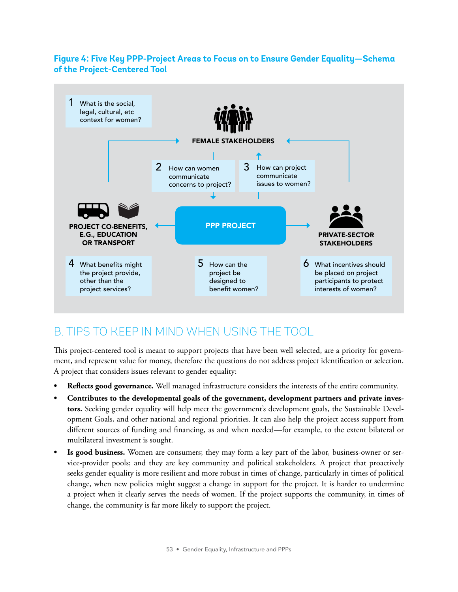## **Figure 4: Five Key PPP-Project Areas to Focus on to Ensure Gender Equality—Schema of the Project-Centered Tool**



## B. TIPS TO KEEP IN MIND WHEN USING THE TOOL

This project-centered tool is meant to support projects that have been well selected, are a priority for government, and represent value for money, therefore the questions do not address project identification or selection. A project that considers issues relevant to gender equality:

- **• Reflects good governance.** Well managed infrastructure considers the interests of the entire community.
- **• Contributes to the developmental goals of the government, development partners and private investors.** Seeking gender equality will help meet the government's development goals, the Sustainable Development Goals, and other national and regional priorities. It can also help the project access support from different sources of funding and financing, as and when needed—for example, to the extent bilateral or multilateral investment is sought.
- **• Is good business.** Women are consumers; they may form a key part of the labor, business-owner or service-provider pools; and they are key community and political stakeholders. A project that proactively seeks gender equality is more resilient and more robust in times of change, particularly in times of political change, when new policies might suggest a change in support for the project. It is harder to undermine a project when it clearly serves the needs of women. If the project supports the community, in times of change, the community is far more likely to support the project.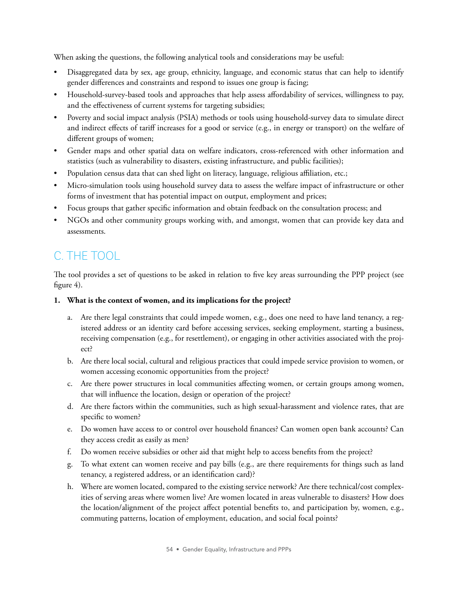When asking the questions, the following analytical tools and considerations may be useful:

- Disaggregated data by sex, age group, ethnicity, language, and economic status that can help to identify gender differences and constraints and respond to issues one group is facing;
- Household-survey-based tools and approaches that help assess affordability of services, willingness to pay, and the effectiveness of current systems for targeting subsidies;
- Poverty and social impact analysis (PSIA) methods or tools using household-survey data to simulate direct and indirect effects of tariff increases for a good or service (e.g., in energy or transport) on the welfare of different groups of women;
- Gender maps and other spatial data on welfare indicators, cross-referenced with other information and statistics (such as vulnerability to disasters, existing infrastructure, and public facilities);
- Population census data that can shed light on literacy, language, religious affiliation, etc.;
- Micro-simulation tools using household survey data to assess the welfare impact of infrastructure or other forms of investment that has potential impact on output, employment and prices;
- Focus groups that gather specific information and obtain feedback on the consultation process; and
- NGOs and other community groups working with, and amongst, women that can provide key data and assessments.

## C. THE TOOL

The tool provides a set of questions to be asked in relation to five key areas surrounding the PPP project (see figure 4).

### **1. What is the context of women, and its implications for the project?**

- a. Are there legal constraints that could impede women, e.g., does one need to have land tenancy, a registered address or an identity card before accessing services, seeking employment, starting a business, receiving compensation (e.g., for resettlement), or engaging in other activities associated with the project?
- b. Are there local social, cultural and religious practices that could impede service provision to women, or women accessing economic opportunities from the project?
- c. Are there power structures in local communities affecting women, or certain groups among women, that will influence the location, design or operation of the project?
- d. Are there factors within the communities, such as high sexual-harassment and violence rates, that are specific to women?
- e. Do women have access to or control over household finances? Can women open bank accounts? Can they access credit as easily as men?
- f. Do women receive subsidies or other aid that might help to access benefits from the project?
- g. To what extent can women receive and pay bills (e.g., are there requirements for things such as land tenancy, a registered address, or an identification card)?
- h. Where are women located, compared to the existing service network? Are there technical/cost complexities of serving areas where women live? Are women located in areas vulnerable to disasters? How does the location/alignment of the project affect potential benefits to, and participation by, women, e.g., commuting patterns, location of employment, education, and social focal points?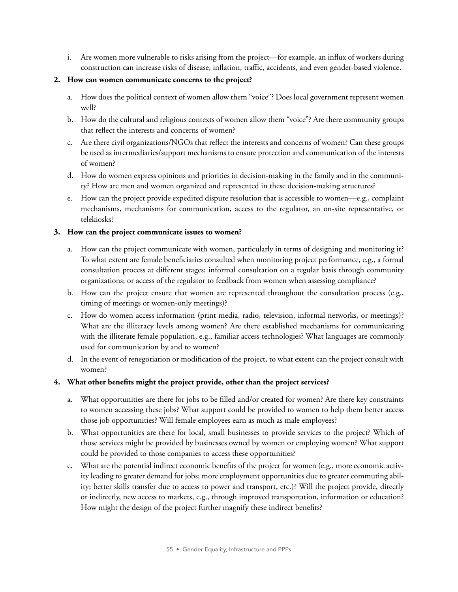i. Are women more vulnerable to risks arising from the project—for example, an influx of workers during construction can increase risks of disease, inflation, traffic, accidents, and even gender-based violence.

#### **2. How can women communicate concerns to the project?**

- a. How does the political context of women allow them "voice"? Does local government represent women well?
- b. How do the cultural and religious contexts of women allow them "voice"? Are there community groups that reflect the interests and concerns of women?
- c. Are there civil organizations/NGOs that reflect the interests and concerns of women? Can these groups be used as intermediaries/support mechanisms to ensure protection and communication of the interests of women?
- d. How do women express opinions and priorities in decision-making in the family and in the community? How are men and women organized and represented in these decision-making structures?
- e. How can the project provide expedited dispute resolution that is accessible to women—e.g., complaint mechanisms, mechanisms for communication, access to the regulator, an on-site representative, or telekiosks?

#### **3. How can the project communicate issues to women?**

- a. How can the project communicate with women, particularly in terms of designing and monitoring it? To what extent are female beneficiaries consulted when monitoring project performance, e.g., a formal consultation process at different stages; informal consultation on a regular basis through community organizations; or access of the regulator to feedback from women when assessing compliance?
- b. How can the project ensure that women are represented throughout the consultation process (e.g., timing of meetings or women-only meetings)?
- c. How do women access information (print media, radio, television, informal networks, or meetings)? What are the illiteracy levels among women? Are there established mechanisms for communicating with the illiterate female population, e.g., familiar access technologies? What languages are commonly used for communication by and to women?
- d. In the event of renegotiation or modification of the project, to what extent can the project consult with women?

#### **4. What other benefits might the project provide, other than the project services?**

- a. What opportunities are there for jobs to be filled and/or created for women? Are there key constraints to women accessing these jobs? What support could be provided to women to help them better access those job opportunities? Will female employees earn as much as male employees?
- b. What opportunities are there for local, small businesses to provide services to the project? Which of those services might be provided by businesses owned by women or employing women? What support could be provided to those companies to access these opportunities?
- c. What are the potential indirect economic benefits of the project for women (e.g., more economic activity leading to greater demand for jobs; more employment opportunities due to greater commuting ability; better skills transfer due to access to power and transport, etc.)? Will the project provide, directly or indirectly, new access to markets, e.g., through improved transportation, information or education? How might the design of the project further magnify these indirect benefits?